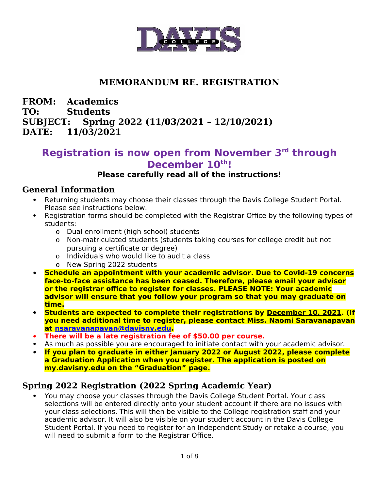

# **MEMORANDUM RE. REGISTRATION**

#### **FROM: Academics TO: Students SUBJECT: Spring 2022 (11/03/2021 – 12/10/2021) DATE: 11/03/2021**

# **Registration is now open from November 3rd through December 10th!**

#### **Please carefully read all of the instructions!**

#### **General Information**

- Returning students may choose their classes through the Davis College Student Portal. Please see instructions below.
- Registration forms should be completed with the Registrar Office by the following types of students:
	- o Dual enrollment (high school) students
	- o Non-matriculated students (students taking courses for college credit but not pursuing a certificate or degree)
	- o Individuals who would like to audit a class
	- o New Spring 2022 students
- **Schedule an appointment with your academic advisor. Due to Covid-19 concerns face-to-face assistance has been ceased. Therefore, please email your advisor or the registrar office to register for classes. PLEASE NOTE: Your academic advisor will ensure that you follow your program so that you may graduate on time.**
- **Students are expected to complete their registrations by December 10, 2021. (If you need additional time to register, please contact Miss. Naomi Saravanapavan at [nsaravanapavan@davisny.edu](mailto:nsaravanapavan@davisny.edu).**
- **There will be a late registration fee of \$50.00 per course.**
- As much as possible you are encouraged to initiate contact with your academic advisor.
- **If you plan to graduate in either January 2022 or August 2022, please complete a Graduation Application when you register. The application is posted on my.davisny.edu on the "Graduation" page.**

#### **Spring 2022 Registration (2022 Spring Academic Year)**

 You may choose your classes through the Davis College Student Portal. Your class selections will be entered directly onto your student account if there are no issues with your class selections. This will then be visible to the College registration staff and your academic advisor. It will also be visible on your student account in the Davis College Student Portal. If you need to register for an Independent Study or retake a course, you will need to submit a form to the Registrar Office.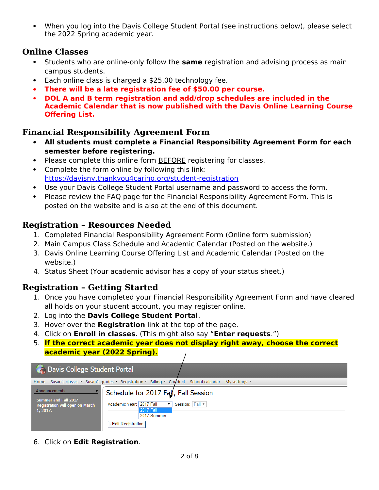When you log into the Davis College Student Portal (see instructions below), please select the 2022 Spring academic year.

#### **Online Classes**

- **Students who are online-only follow the same registration and advising process as main** campus students.
- Each online class is charged a \$25.00 technology fee.
- **There will be a late registration fee of \$50.00 per course.**
- **DOL A and B term registration and add/drop schedules are included in the Academic Calendar that is now published with the Davis Online Learning Course Offering List.**

# **Financial Responsibility Agreement Form**

- **All students must complete a Financial Responsibility Agreement Form for each semester before registering.**
- Please complete this online form **BEFORE** registering for classes.
- Complete the form online by following this link: <https://davisny.thankyou4caring.org/student-registration>
- Use your Davis College Student Portal username and password to access the form.
- Please review the FAQ page for the Financial Responsibility Agreement Form. This is posted on the website and is also at the end of this document.

### **Registration – Resources Needed**

- 1. Completed Financial Responsibility Agreement Form (Online form submission)
- 2. Main Campus Class Schedule and Academic Calendar (Posted on the website.)
- 3. Davis Online Learning Course Offering List and Academic Calendar (Posted on the website.)
- 4. Status Sheet (Your academic advisor has a copy of your status sheet.)

#### **Registration – Getting Started**

- 1. Once you have completed your Financial Responsibility Agreement Form and have cleared all holds on your student account, you may register online.
- 2. Log into the **Davis College Student Portal**.
- 3. Hover over the **Registration** link at the top of the page.
- 4. Click on **Enroll in classes**. (This might also say "**Enter requests**.")
- 5. **If the correct academic year does not display right away, choose the correct academic year (2022 Spring).**

| <b>A.</b> Davis College Student Portal                                                                                                                                                                                             |                 |
|------------------------------------------------------------------------------------------------------------------------------------------------------------------------------------------------------------------------------------|-----------------|
| Home Susan's classes * Susan's grades * Registration * Billing * Conduct School calendar                                                                                                                                           | My settings     |
| Announcements<br>소<br>Schedule for 2017 Fall, Fall Session<br>Summer and Fall 2017<br>Academic Year: 2017 Fall<br>۷.<br>Registration will open on March<br><b>2017 Fall</b><br>1, 2017.<br>2017 Summer<br><b>Edit Registration</b> | Session: Fall ▼ |

6. Click on **Edit Registration**.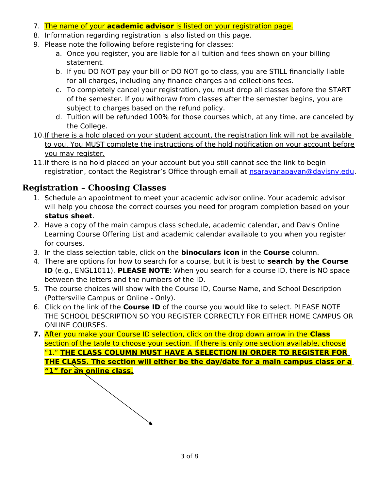- 7. The name of your **academic advisor** is listed on your registration page.
- 8. Information regarding registration is also listed on this page.
- 9. Please note the following before registering for classes:
	- a. Once you register, you are liable for all tuition and fees shown on your billing statement.
	- b. If you DO NOT pay your bill or DO NOT go to class, you are STILL financially liable for all charges, including any finance charges and collections fees.
	- c. To completely cancel your registration, you must drop all classes before the START of the semester. If you withdraw from classes after the semester begins, you are subject to charges based on the refund policy.
	- d. Tuition will be refunded 100% for those courses which, at any time, are canceled by the College.
- 10. If there is a hold placed on your student account, the registration link will not be available to you. You MUST complete the instructions of the hold notification on your account before you may register.
- 11.If there is no hold placed on your account but you still cannot see the link to begin registration, contact the Registrar's Office through email at [nsaravanapavan@davisny.edu](mailto:nsaravanapavan@davisny.edu).

#### **Registration – Choosing Classes**

- 1. Schedule an appointment to meet your academic advisor online. Your academic advisor will help you choose the correct courses you need for program completion based on your **status sheet**.
- 2. Have a copy of the main campus class schedule, academic calendar, and Davis Online Learning Course Offering List and academic calendar available to you when you register for courses.
- 3. In the class selection table, click on the **binoculars icon** in the **Course** column.
- 4. There are options for how to search for a course, but it is best to **search by the Course ID** (e.g., ENGL1011). **PLEASE NOTE**: When you search for a course ID, there is NO space between the letters and the numbers of the ID.
- 5. The course choices will show with the Course ID, Course Name, and School Description (Pottersville Campus or Online - Only).
- 6. Click on the link of the **Course ID** of the course you would like to select. PLEASE NOTE THE SCHOOL DESCRIPTION SO YOU REGISTER CORRECTLY FOR EITHER HOME CAMPUS OR ONLINE COURSES.
- **7.** After you make your Course ID selection, click on the drop down arrow in the **Class** section of the table to choose your section. If there is only one section available, choose "1." **THE CLASS COLUMN MUST HAVE A SELECTION IN ORDER TO REGISTER FOR THE CLASS. The section will either be the day/date for a main campus class or a "1" for an online class.**

3 of 8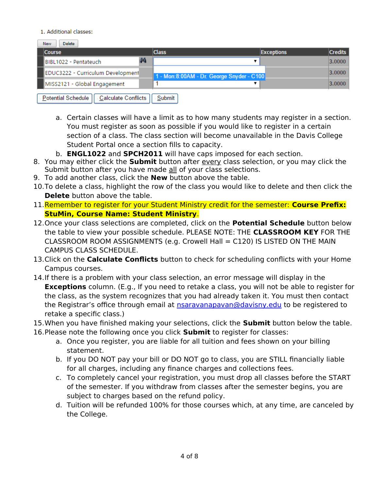#### 1. Additional classes:

| Delete<br><b>New</b>                                    |                                            |                   |                |  |  |  |  |
|---------------------------------------------------------|--------------------------------------------|-------------------|----------------|--|--|--|--|
| <b>Course</b>                                           | <b>Class</b>                               | <b>Exceptions</b> | <b>Credits</b> |  |  |  |  |
| фĄ<br>BIBL1022 - Pentateuch                             |                                            |                   | 3.0000         |  |  |  |  |
| EDUC3222 - Curriculum Development                       | 1 - Mon: 8:00AM - Dr. George Snyder - C100 |                   | 3.0000         |  |  |  |  |
| MISS2121 - Global Engagement                            |                                            |                   | 3.0000         |  |  |  |  |
| <b>Potential Schedule</b><br><b>Calculate Conflicts</b> | Submit                                     |                   |                |  |  |  |  |

- a. Certain classes will have a limit as to how many students may register in a section. You must register as soon as possible if you would like to register in a certain section of a class. The class section will become unavailable in the Davis College Student Portal once a section fills to capacity.
- b. **ENGL1022** and **SPCH2011** will have caps imposed for each section.
- 8. You may either click the **Submit** button after every class selection, or you may click the Submit button after you have made all of your class selections.
- 9. To add another class, click the **New** button above the table.
- 10.To delete a class, highlight the row of the class you would like to delete and then click the **Delete** button above the table.
- 11.Remember to register for your Student Ministry credit for the semester: **Course Prefix: StuMin, Course Name: Student Ministry**.
- 12.Once your class selections are completed, click on the **Potential Schedule** button below the table to view your possible schedule. PLEASE NOTE: THE **CLASSROOM KEY** FOR THE CLASSROOM ROOM ASSIGNMENTS (e.g. Crowell Hall = C120) IS LISTED ON THE MAIN CAMPUS CLASS SCHEDULE.
- 13.Click on the **Calculate Conflicts** button to check for scheduling conflicts with your Home Campus courses.
- 14.If there is a problem with your class selection, an error message will display in the **Exceptions** column. (E.g., If you need to retake a class, you will not be able to register for the class, as the system recognizes that you had already taken it. You must then contact the Registrar's office through email at [nsaravanapavan@davisny.edu](mailto:nsaravanapavan@davisny.edu) to be registered to retake a specific class.)
- 15.When you have finished making your selections, click the **Submit** button below the table.
- 16.Please note the following once you click **Submit** to register for classes:
	- a. Once you register, you are liable for all tuition and fees shown on your billing statement.
	- b. If you DO NOT pay your bill or DO NOT go to class, you are STILL financially liable for all charges, including any finance charges and collections fees.
	- c. To completely cancel your registration, you must drop all classes before the START of the semester. If you withdraw from classes after the semester begins, you are subject to charges based on the refund policy.
	- d. Tuition will be refunded 100% for those courses which, at any time, are canceled by the College.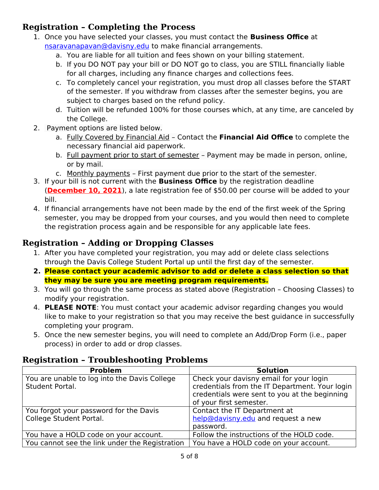# **Registration – Completing the Process**

- 1. Once you have selected your classes, you must contact the **Business Office** at [nsaravanapavan@davisny.edu](mailto:nsaravanapavan@davisny.edu) to make financial arrangements.
	- a. You are liable for all tuition and fees shown on your billing statement.
	- b. If you DO NOT pay your bill or DO NOT go to class, you are STILL financially liable for all charges, including any finance charges and collections fees.
	- c. To completely cancel your registration, you must drop all classes before the START of the semester. If you withdraw from classes after the semester begins, you are subject to charges based on the refund policy.
	- d. Tuition will be refunded 100% for those courses which, at any time, are canceled by the College.
- 2. Payment options are listed below.
	- a. Fully Covered by Financial Aid Contact the **Financial Aid Office** to complete the necessary financial aid paperwork.
	- b. Full payment prior to start of semester Payment may be made in person, online, or by mail.
	- c. Monthly payments First payment due prior to the start of the semester.
- 3. If your bill is not current with the **Business Office** by the registration deadline (**December 10, 2021**), a late registration fee of \$50.00 per course will be added to your bill.
- 4. If financial arrangements have not been made by the end of the first week of the Spring semester, you may be dropped from your courses, and you would then need to complete the registration process again and be responsible for any applicable late fees.

#### **Registration – Adding or Dropping Classes**

- 1. After you have completed your registration, you may add or delete class selections through the Davis College Student Portal up until the first day of the semester.
- **2. Please contact your academic advisor to add or delete a class selection so that they may be sure you are meeting program requirements.**
- 3. You will go through the same process as stated above (Registration Choosing Classes) to modify your registration.
- 4. **PLEASE NOTE**: You must contact your academic advisor regarding changes you would like to make to your registration so that you may receive the best guidance in successfully completing your program.
- 5. Once the new semester begins, you will need to complete an Add/Drop Form (i.e., paper process) in order to add or drop classes.

#### **Registration – Troubleshooting Problems**

| <b>Problem</b>                                 | <b>Solution</b>                                                                                 |
|------------------------------------------------|-------------------------------------------------------------------------------------------------|
| You are unable to log into the Davis College   | Check your davisny email for your login                                                         |
| Student Portal.                                | credentials from the IT Department. Your login<br>credentials were sent to you at the beginning |
|                                                | of your first semester.                                                                         |
| You forgot your password for the Davis         | Contact the IT Department at                                                                    |
| College Student Portal.                        | help@davisny.edu and request a new                                                              |
|                                                | password.                                                                                       |
| You have a HOLD code on your account.          | Follow the instructions of the HOLD code.                                                       |
| You cannot see the link under the Registration | You have a HOLD code on your account.                                                           |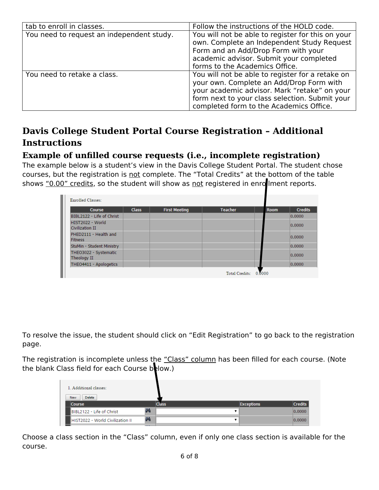| tab to enroll in classes.                 | Follow the instructions of the HOLD code.                                                                                                                                                                                                 |
|-------------------------------------------|-------------------------------------------------------------------------------------------------------------------------------------------------------------------------------------------------------------------------------------------|
| You need to request an independent study. | You will not be able to register for this on your<br>own. Complete an Independent Study Request<br>Form and an Add/Drop Form with your                                                                                                    |
|                                           | academic advisor. Submit your completed<br>forms to the Academics Office.                                                                                                                                                                 |
| You need to retake a class.               | You will not be able to register for a retake on<br>your own. Complete an Add/Drop Form with<br>your academic advisor. Mark "retake" on your<br>form next to your class selection. Submit your<br>completed form to the Academics Office. |

# **Davis College Student Portal Course Registration – Additional Instructions**

#### **Example of unfilled course requests (i.e., incomplete registration)**

The example below is a student's view in the Davis College Student Portal. The student chose courses, but the registration is not complete. The "Total Credits" at the bottom of the table shows "0.00" credits, so the student will show as not registered in enrollment reports.

| Course                                  | <b>Class</b> | <b>First Meeting</b> | <b>Teacher</b> | <b>Room</b> | <b>Credits</b> |
|-----------------------------------------|--------------|----------------------|----------------|-------------|----------------|
| BIBL2122 - Life of Christ               |              |                      |                |             | 0.0000         |
| HIST2022 - World<br>Civilization II     |              |                      |                |             | 0.0000         |
| PHED2111 - Health and<br><b>Fitness</b> |              |                      |                |             | 0.0000         |
| StuMin - Student Ministry               |              |                      |                |             | 0.0000         |
| THEO3022 - Systematic<br>Theology II    |              |                      |                |             | 0.0000         |
| THEO4411 - Apologetics                  |              |                      |                |             | 0.0000         |

To resolve the issue, the student should click on "Edit Registration" to go back to the registration page.

The registration is incomplete unless the "Class" column has been filled for each course. (Note the blank Class field for each Course below.)

| 1. Additional classes:<br><b>Delete</b><br><b>New</b> |   |              |                   |                |
|-------------------------------------------------------|---|--------------|-------------------|----------------|
| <b>Course</b>                                         |   | <b>Class</b> | <b>Exceptions</b> | <b>Credits</b> |
| BIBL2122 - Life of Christ                             | 俩 |              |                   | 0.0000         |
| HIST2022 - World Civilization II                      | 俩 |              |                   | 0.0000         |
|                                                       |   |              |                   |                |

Choose a class section in the "Class" column, even if only one class section is available for the course.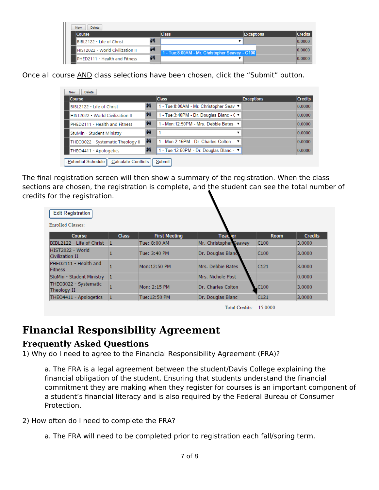| Delete<br><b>New</b>             |   |                                                  |                   |                |
|----------------------------------|---|--------------------------------------------------|-------------------|----------------|
| <b>Course</b>                    |   | <b>Class</b>                                     | <b>Exceptions</b> | <b>Credits</b> |
| BIBL2122 - Life of Christ        | 曲 |                                                  |                   | 0.0000         |
| HIST2022 - World Civilization II | 俩 | 1 - Tue: 8:00AM - Mr. Christopher Seavey - C100. |                   | 0.0000         |
| PHED2111 - Health and Fitness    | 曲 |                                                  |                   | 0.0000         |

Once all course AND class selections have been chosen, click the "Submit" button.

| <b>Course</b>                      |   | <b>Class</b>                               | <b>Exceptions</b> | <b>Credits</b> |
|------------------------------------|---|--------------------------------------------|-------------------|----------------|
| BIBL2122 - Life of Christ          | 两 | 1 - Tue:8:00AM - Mr. Christopher Seav ▼    |                   | 0.0000         |
| HIST2022 - World Civilization II   | 俩 | 1 - Tue: 3:40PM - Dr. Douglas Blanc - C ▼  |                   | 0.0000         |
| 俩<br>PHED2111 - Health and Fitness |   | 1 - Mon: 12:50PM - Mrs. Debbie Bates · ▼   |                   | 0.0000         |
| StuMin - Student Ministry          | 俩 | ▼                                          |                   | 0.0000         |
| THEO3022 - Systematic Theology II  | 两 | 1 - Mon: 2:15PM - Dr. Charles Colton -   ▼ |                   | 0.0000         |
| THEO4411 - Apologetics             | 曲 | 1 - Tue: 12:50PM - Dr. Douglas Blanc - ▼   |                   | 0.0000         |

The final registration screen will then show a summary of the registration. When the class sections are chosen, the registration is complete, and the student can see the total number of credits for the registration.

| <b>Edit Registration</b><br><b>Enrolled Classes:</b> |              |                      |                        |                  |                |
|------------------------------------------------------|--------------|----------------------|------------------------|------------------|----------------|
| <b>Course</b>                                        | <b>Class</b> | <b>First Meeting</b> | <b>Teacher</b>         | <b>Room</b>      | <b>Credits</b> |
| BIBL2122 - Life of Christ                            |              | Tue: 8:00 AM         | Mr. Christopher Seavey | C100             | 3.0000         |
| HIST2022 - World<br>Civilization II                  |              | Tue: 3:40 PM         | Dr. Douglas Bland      | C <sub>100</sub> | 3.0000         |
| PHED2111 - Health and<br><b>Fitness</b>              |              | Mon: 12:50 PM        | Mrs. Debbie Bates      | C121             | 3.0000         |
| StuMin - Student Ministry                            |              |                      | Mrs. Nichole Post      |                  | 0.0000         |
| THEO3022 - Systematic<br>Theology II                 |              | Mon: 2:15 PM         | Dr. Charles Colton     | CC100            | 3.0000         |
| THEO4411 - Apologetics                               |              | Tue: 12:50 PM        | Dr. Douglas Blanc      | C121             | 3.0000         |
|                                                      |              |                      | Total Credits: 15,0000 |                  |                |

# **Financial Responsibility Agreement**

#### **Frequently Asked Questions**

1) Why do I need to agree to the Financial Responsibility Agreement (FRA)?

a. The FRA is a legal agreement between the student/Davis College explaining the financial obligation of the student. Ensuring that students understand the financial commitment they are making when they register for courses is an important component of a student's financial literacy and is also required by the Federal Bureau of Consumer Protection.

2) How often do I need to complete the FRA?

a. The FRA will need to be completed prior to registration each fall/spring term.